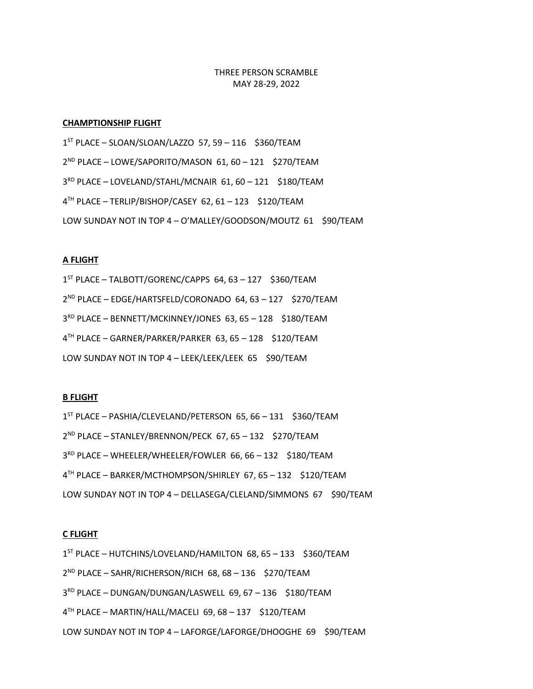THREE PERSON SCRAMBLE MAY 28-29, 2022

# **CHAMPTIONSHIP FLIGHT**

 ST PLACE – SLOAN/SLOAN/LAZZO 57, 59 – 116 \$360/TEAM ND PLACE – LOWE/SAPORITO/MASON 61, 60 – 121 \$270/TEAM RD PLACE – LOVELAND/STAHL/MCNAIR 61, 60 – 121 \$180/TEAM TH PLACE – TERLIP/BISHOP/CASEY 62, 61 – 123 \$120/TEAM LOW SUNDAY NOT IN TOP 4 – O'MALLEY/GOODSON/MOUTZ 61 \$90/TEAM

## **A FLIGHT**

 ST PLACE – TALBOTT/GORENC/CAPPS 64, 63 – 127 \$360/TEAM ND PLACE – EDGE/HARTSFELD/CORONADO 64, 63 – 127 \$270/TEAM RD PLACE – BENNETT/MCKINNEY/JONES 63, 65 – 128 \$180/TEAM TH PLACE – GARNER/PARKER/PARKER 63, 65 – 128 \$120/TEAM LOW SUNDAY NOT IN TOP 4 - LEEK/LEEK/LEEK 65 \$90/TEAM

#### **B FLIGHT**

 ST PLACE – PASHIA/CLEVELAND/PETERSON 65, 66 – 131 \$360/TEAM ND PLACE – STANLEY/BRENNON/PECK 67, 65 – 132 \$270/TEAM RD PLACE – WHEELER/WHEELER/FOWLER 66, 66 – 132 \$180/TEAM TH PLACE – BARKER/MCTHOMPSON/SHIRLEY 67, 65 – 132 \$120/TEAM LOW SUNDAY NOT IN TOP 4 - DELLASEGA/CLELAND/SIMMONS 67 \$90/TEAM

## **C FLIGHT**

 ST PLACE – HUTCHINS/LOVELAND/HAMILTON 68, 65 – 133 \$360/TEAM ND PLACE – SAHR/RICHERSON/RICH 68, 68 – 136 \$270/TEAM RD PLACE – DUNGAN/DUNGAN/LASWELL 69, 67 – 136 \$180/TEAM TH PLACE – MARTIN/HALL/MACELI 69, 68 – 137 \$120/TEAM LOW SUNDAY NOT IN TOP 4 - LAFORGE/LAFORGE/DHOOGHE 69 \$90/TEAM